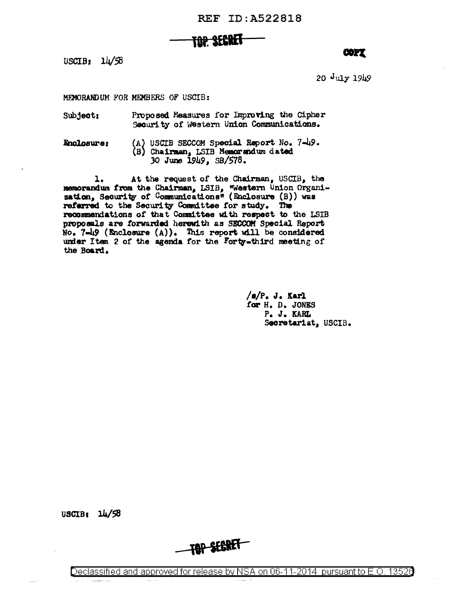

USCIB:  $14/58$ 

**COPT** 

20 July 1949

MEMORANDUM FOR MEMBERS OF USCIB:

Proposed Measures for Improving the Cipher Subject: Security of Western Union Communications.

 $(A)$  USCIB SECCOM Special Report No.  $7-49$ . Enclosure: (B) Chairman, LSIB Memorandum dated 30 June 1949, SB/578.

At the request of the Chairman, USCIB, the ı. memorandum from the Chairman, LSIB, "Western Union Organi-zation, Security of Communications" (Enclosure (B)) was referred to the Security Committee for study. The recommendations of that Committee with respect to the LSIB proposals are forwarded herewith as SECCOM Special Report No. 7-49 (Enclosure (A)). This report will be considered under Item 2 of the agenda for the Forty-third meeting of the Board.

> $/s/P. J. Karl$ for H. D. JONES P. J. KARL Secretariat, USCIB.

 $USCIB_1$   $14/58$ 

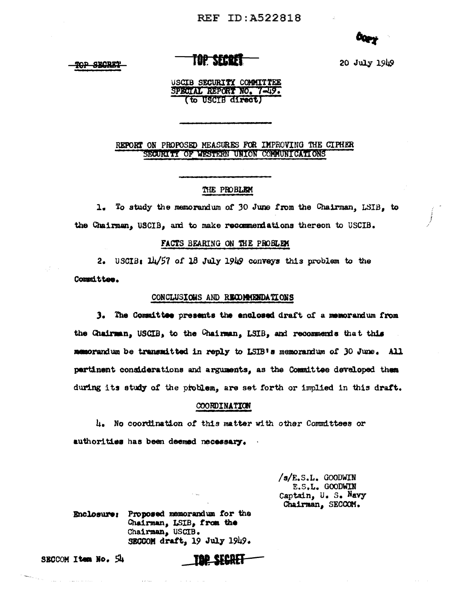TOP SECRET

# **TUP STREE**

20 July 1949

USCIB SECURITY COMMITTEE SPECIAL REPORT NO. 7-49. (to USCIB direct)

## REPORT ON PROPOSED MEASURES FOR IMPROVING THE CIPHER SECURITY OF WESTERN UNION COMMUNICATIONS

## THE PROBLEM

1. To study the memorandum of 30 June from the Chairman, LSIB, to the Chairman. USCIB. and to make recommendations thereon to USCIB.

## FACTS BEARING ON THE PROBLEM

2. USCIB: 14/57 of 18 July 1949 conveys this problem to the Committee.

#### CONCLUSIONS AND RECOMMENDATIONS

3. The Committee presents the enclosed draft of a memorandum from the Chairman, USCIB, to the Chairman, LSIB, and recommends that this memorandum be transmitted in reply to LSIB's memorandum of 30 June. All partinent considerations and arguments, as the Committee developed them during its study of the problem, are set forth or implied in this draft.

#### COORDINATION

4. No coordination of this matter with other Committees or authorities has been deemed necessary.

> /s/E.S.L. GOODWIN E.S.L. GOODWIN Captain, U. S. Navy Chairman, SECCOM.

**Enclosure:** Proposed memorandum for the Chairman, LSIB, from the Chairman, USCIB. SECCOM draft, 19 July 1949.

 $\sim$   $\sim$ 

and the state

SECCOM Item No. 54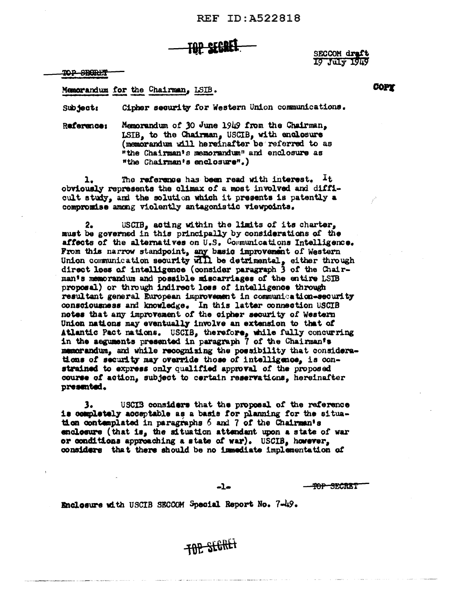TOP SECRET

SECCOM draft 19 July 1949

TOP SBORET

Memorandum for the Chairman, LSIB.

Cipher security for Western Union communications. Subject:

Raferance: Memorandum of 30 June 1949 from the Chairman. LSIB, to the Chairman, USCIB, with enclosure (memorandum will hereinafter be referred to as "the Chairman's memorandum" and enclosure as "the Chairman's enclosure".)

The reference has been read with interest.  $\pm t$ ı. obviously represents the climax of a most involved and difficult study, and the solution which it presents is patently a compromise among violently antagonistic viewpoints.

USCIB, acting within the limits of its charter. 2. must be governed in this principally by considerations of the affects of the alternatives on U.S. Communications Intelligence. From this narrow standpoint, any basic improvement of Western Union communication security will be detrimental, either through direct loss of intelligence (consider paragraph 3 of the Chairman's memorandum and possible miscarriages of the entire LSIB proposal) or through indirect loss of intelligence through resultant general European improvement in communication-security consciousness and knowledge. In this latter connection USCIB notes that any improvement of the cipher security of Western Union nations may eventually involve an extension to that of Atlantic Pact nations. USCIB, therefore, while fully concurring in the aeguments presented in paragraph 7 of the Chairman's memorandum, and while recognizing the possibility that considerations of security may override those of intelligence, is constrained to express only qualified approval of the proposed course of action, subject to certain reservations, hereinafter presented.

3. USCIB considers that the proposal of the reference is completely acceptable as a basis for planning for the situation contemplated in paragraphs 6 and 7 of the Chairman's enclosure (that is, the situation attendant upon a state of war or conditions approaching a state of war). USCIB, however, considers that there should be no immediate implementation of

**TOP SEGRET** 

 $-1-$ 

<del>TOP SECRET</del>

Enclosure with USCIB SECCOM Special Report No. 7-49.

**COPY**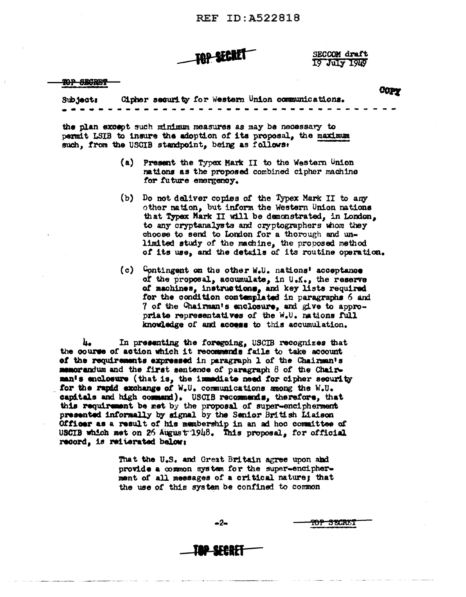REF TD: 4522818

JAP SECRET

SECCOM draft 19 July 1949

<del>TOP SECRET</del>

TOP SECRET

Cipher security for Western Union communications. Subject:

the plan except such minimum measures as may be necessary to permit LSIB to insure the adoption of its proposal, the maximum such, from the USCIB standpoint, being as follows:

- (a) Present the Typex Mark II to the Western Union nations as the proposed combined cipher machine for future emergency.
- (b) Do not deliver copies of the Typex Mark II to any other nation, but inform the Western Union nations that Typex Mark II will be demonstrated, in London, to any cryptanalysts and cryptographers whom they choose to send to London for a thorough and unlimited study of the machine, the proposed method of its use, and the details of its routine operation.
- (c) Contingent on the other  $W<sub>s</sub>U<sub>s</sub>$  nations' acceptance of the proposal, accumulate, in U.K., the reserve of machines, instructions, and key lists required for the condition contemplated in paragraphs 6 and 7 of the Chairman's enclosure, and give to appropriate representatives of the W.U. nations full knowledge of and access to this accumulation.

հ. In presenting the foregoing, USCIB recognizes that the course of action which it recommends fails to take account of the requirements expressed in paragraph 1 of the Chairman's memorandum and the first sentence of paragraph 8 of the Chairman's enclosure (that is, the immediate need for cipher security for the rapid exchange of W.U. communications among the W.U. capitals and high command). USCIB recommends, therefore, that this requirement be met by the proposal of super-encipherment presented informally by signal by the Senior British Liaison Officer as a result of his membership in an ad hoc committee of USCIB which met on 26 August 1948. This proposal, for official record, is reiterated below:

> That the U.S. and Great Britain agree upon and provide a common system for the super-encipherment of all messages of a critical nature; that the use of this system be confined to common

COPY

**TAP\_SFERFT** 

 $-2-$